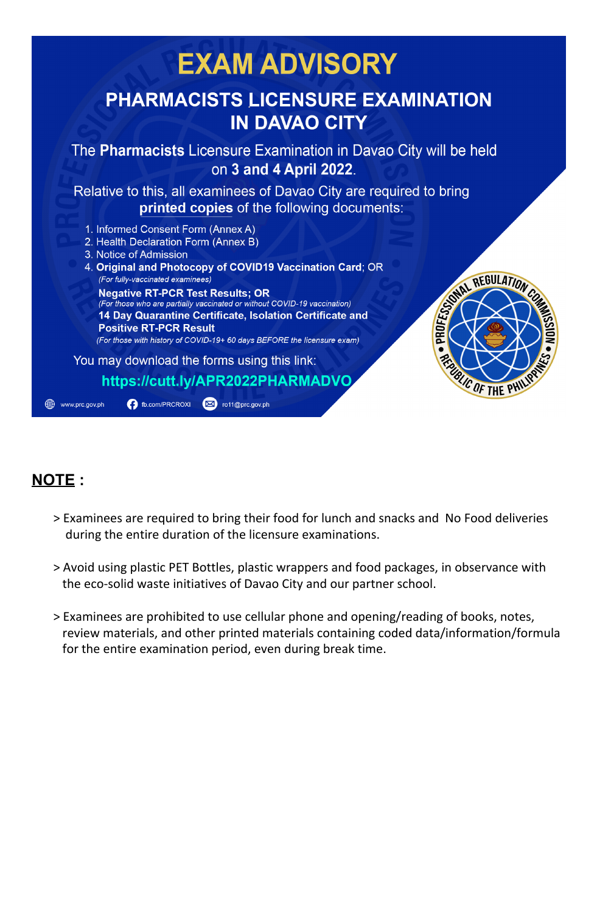

## **NOTE :**

- > Examinees are required to bring their food for lunch and snacks and No Food deliveries during the entire duration of the licensure examinations.
- > Avoid using plastic PET Bottles, plastic wrappers and food packages, in observance with the eco-solid waste initiatives of Davao City and our partner school.
- > Examinees are prohibited to use cellular phone and opening/reading of books, notes, review materials, and other printed materials containing coded data/information/formula for the entire examination period, even during break time.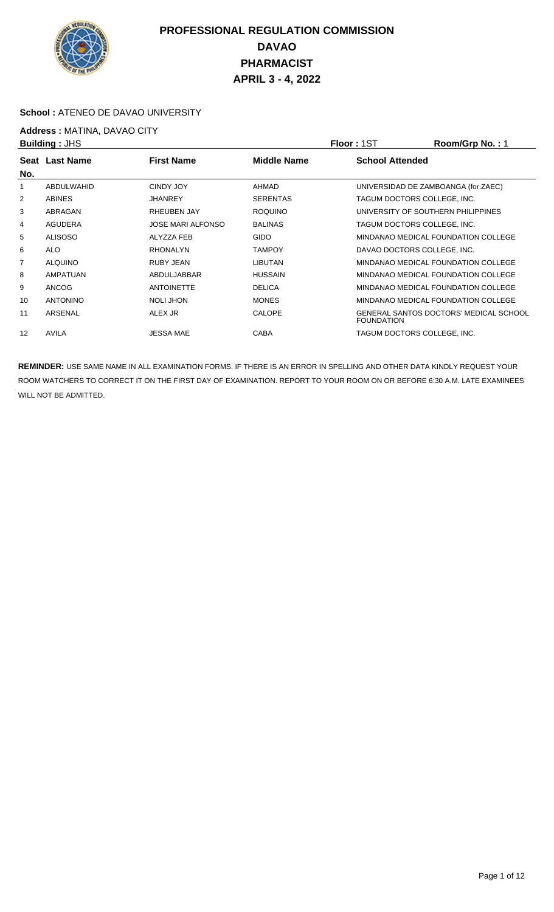

#### School : ATENEO DE DAVAO UNIVERSITY

## **Address :** MATINA, DAVAO CITY

| <b>Building: JHS</b> |                 |                          | <b>Floor: 1ST</b> | Room/Grp No.: 1        |                                        |
|----------------------|-----------------|--------------------------|-------------------|------------------------|----------------------------------------|
|                      | Seat Last Name  | <b>First Name</b>        | Middle Name       | <b>School Attended</b> |                                        |
| No.                  |                 |                          |                   |                        |                                        |
|                      | ABDULWAHID      | CINDY JOY                | AHMAD             |                        | UNIVERSIDAD DE ZAMBOANGA (for.ZAEC)    |
| 2                    | <b>ABINES</b>   | <b>JHANREY</b>           | <b>SERENTAS</b>   |                        | TAGUM DOCTORS COLLEGE. INC.            |
| 3                    | ABRAGAN         | <b>RHEUBEN JAY</b>       | <b>ROQUINO</b>    |                        | UNIVERSITY OF SOUTHERN PHILIPPINES     |
| 4                    | <b>AGUDERA</b>  | <b>JOSE MARI ALFONSO</b> | <b>BALINAS</b>    |                        | TAGUM DOCTORS COLLEGE, INC.            |
| 5                    | <b>ALISOSO</b>  | ALYZZA FEB               | <b>GIDO</b>       |                        | MINDANAO MEDICAL FOUNDATION COLLEGE    |
| 6                    | <b>ALO</b>      | <b>RHONALYN</b>          | <b>TAMPOY</b>     |                        | DAVAO DOCTORS COLLEGE, INC.            |
| $\overline{7}$       | <b>ALQUINO</b>  | <b>RUBY JEAN</b>         | <b>LIBUTAN</b>    |                        | MINDANAO MEDICAL FOUNDATION COLLEGE    |
| 8                    | AMPATUAN        | ABDULJABBAR              | <b>HUSSAIN</b>    |                        | MINDANAO MEDICAL FOUNDATION COLLEGE    |
| 9                    | <b>ANCOG</b>    | <b>ANTOINETTE</b>        | <b>DELICA</b>     |                        | MINDANAO MEDICAL FOUNDATION COLLEGE    |
| 10                   | <b>ANTONINO</b> | NOLI JHON                | <b>MONES</b>      |                        | MINDANAO MEDICAL FOUNDATION COLLEGE    |
| 11                   | ARSENAL         | ALEX JR                  | <b>CALOPE</b>     | <b>FOUNDATION</b>      | GENERAL SANTOS DOCTORS' MEDICAL SCHOOL |
| 12                   | <b>AVILA</b>    | <b>JESSA MAE</b>         | <b>CABA</b>       |                        | TAGUM DOCTORS COLLEGE, INC.            |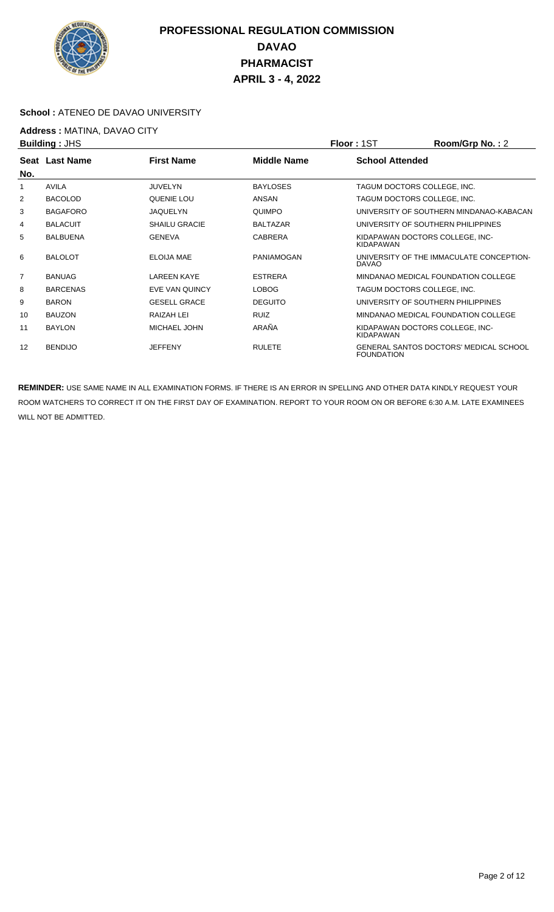

#### **School :** ATENEO DE DAVAO UNIVERSITY

## **Address : MATINA, DAVAO CITY**<br>**Building : JHS**

| <b>Building: JHS</b> |                 |                      | <b>Floor: 1ST</b>  | Room/Grp No.: 2        |                                          |
|----------------------|-----------------|----------------------|--------------------|------------------------|------------------------------------------|
| No.                  | Seat Last Name  | <b>First Name</b>    | <b>Middle Name</b> | <b>School Attended</b> |                                          |
| 1                    | AVILA           | <b>JUVELYN</b>       | <b>BAYLOSES</b>    |                        | TAGUM DOCTORS COLLEGE. INC.              |
| 2                    | <b>BACOLOD</b>  | QUENIE LOU           | ANSAN              |                        | TAGUM DOCTORS COLLEGE, INC.              |
| 3                    | <b>BAGAFORO</b> | <b>JAQUELYN</b>      | <b>QUIMPO</b>      |                        | UNIVERSITY OF SOUTHERN MINDANAO-KABACAN  |
| 4                    | <b>BALACUIT</b> | <b>SHAILU GRACIE</b> | <b>BALTAZAR</b>    |                        | UNIVERSITY OF SOUTHERN PHILIPPINES       |
| 5                    | <b>BALBUENA</b> | <b>GENEVA</b>        | <b>CABRERA</b>     | <b>KIDAPAWAN</b>       | KIDAPAWAN DOCTORS COLLEGE, INC-          |
| 6                    | <b>BALOLOT</b>  | <b>ELOIJA MAE</b>    | PANIAMOGAN         | <b>DAVAO</b>           | UNIVERSITY OF THE IMMACULATE CONCEPTION- |
| 7                    | <b>BANUAG</b>   | <b>LAREEN KAYE</b>   | <b>ESTRERA</b>     |                        | MINDANAO MEDICAL FOUNDATION COLLEGE      |
| 8                    | <b>BARCENAS</b> | EVE VAN QUINCY       | <b>LOBOG</b>       |                        | TAGUM DOCTORS COLLEGE, INC.              |
| 9                    | <b>BARON</b>    | <b>GESELL GRACE</b>  | <b>DEGUITO</b>     |                        | UNIVERSITY OF SOUTHERN PHILIPPINES       |
| 10                   | <b>BAUZON</b>   | RAIZAH LEI           | <b>RUIZ</b>        |                        | MINDANAO MEDICAL FOUNDATION COLLEGE      |
| 11                   | <b>BAYLON</b>   | MICHAEL JOHN         | ARAÑA              | <b>KIDAPAWAN</b>       | KIDAPAWAN DOCTORS COLLEGE, INC-          |
| 12                   | <b>BENDIJO</b>  | <b>JEFFENY</b>       | <b>RULETE</b>      | <b>FOUNDATION</b>      | GENERAL SANTOS DOCTORS' MEDICAL SCHOOL   |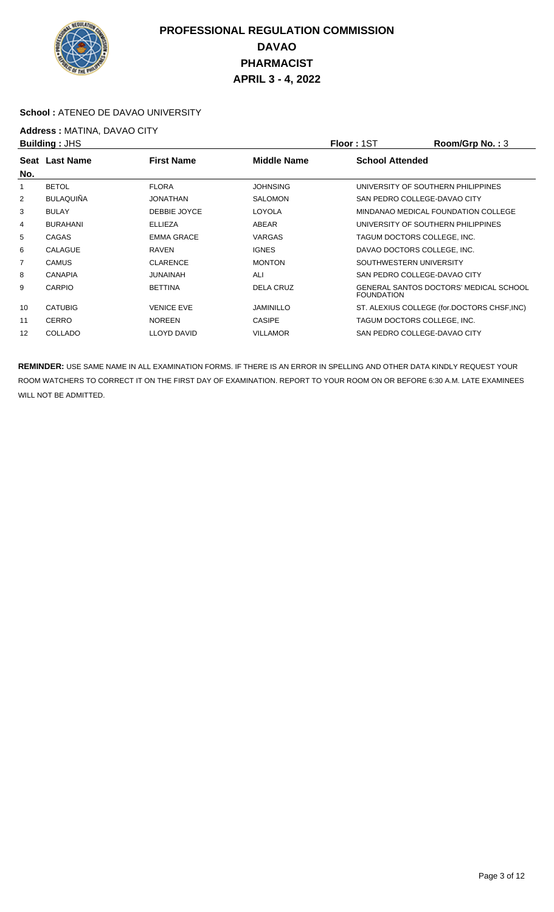

#### **School :** ATENEO DE DAVAO UNIVERSITY

## **Address : MATINA, DAVAO CITY**<br>**Building : JHS**

| <b>Building: JHS</b> |                  |                    |                    | <b>Floor: 1ST</b>                  | Room/Grp No.: 3                             |
|----------------------|------------------|--------------------|--------------------|------------------------------------|---------------------------------------------|
|                      | Seat Last Name   | <b>First Name</b>  | <b>Middle Name</b> | <b>School Attended</b>             |                                             |
| No.                  |                  |                    |                    |                                    |                                             |
|                      | <b>BETOL</b>     | <b>FLORA</b>       | <b>JOHNSING</b>    | UNIVERSITY OF SOUTHERN PHILIPPINES |                                             |
| 2                    | <b>BULAQUIÑA</b> | JONATHAN           | <b>SALOMON</b>     | SAN PEDRO COLLEGE-DAVAO CITY       |                                             |
| 3                    | <b>BULAY</b>     | DEBBIE JOYCE       | LOYOLA             |                                    | MINDANAO MEDICAL FOUNDATION COLLEGE         |
| 4                    | <b>BURAHANI</b>  | <b>ELLIEZA</b>     | ABEAR              | UNIVERSITY OF SOUTHERN PHILIPPINES |                                             |
| 5                    | <b>CAGAS</b>     | <b>EMMA GRACE</b>  | <b>VARGAS</b>      | TAGUM DOCTORS COLLEGE, INC.        |                                             |
| 6                    | CALAGUE          | RAVEN              | <b>IGNES</b>       | DAVAO DOCTORS COLLEGE, INC.        |                                             |
| $\overline{7}$       | <b>CAMUS</b>     | <b>CLARENCE</b>    | <b>MONTON</b>      | SOUTHWESTERN UNIVERSITY            |                                             |
| 8                    | <b>CANAPIA</b>   | <b>JUNAINAH</b>    | ALI                | SAN PEDRO COLLEGE-DAVAO CITY       |                                             |
| 9                    | CARPIO           | <b>BETTINA</b>     | DELA CRUZ          | <b>FOUNDATION</b>                  | GENERAL SANTOS DOCTORS' MEDICAL SCHOOL      |
| 10                   | <b>CATUBIG</b>   | <b>VENICE EVE</b>  | <b>JAMINILLO</b>   |                                    | ST. ALEXIUS COLLEGE (for.DOCTORS CHSF, INC) |
| 11                   | <b>CERRO</b>     | <b>NOREEN</b>      | <b>CASIPE</b>      | TAGUM DOCTORS COLLEGE, INC.        |                                             |
| 12                   | <b>COLLADO</b>   | <b>LLOYD DAVID</b> | <b>VILLAMOR</b>    | SAN PEDRO COLLEGE-DAVAO CITY       |                                             |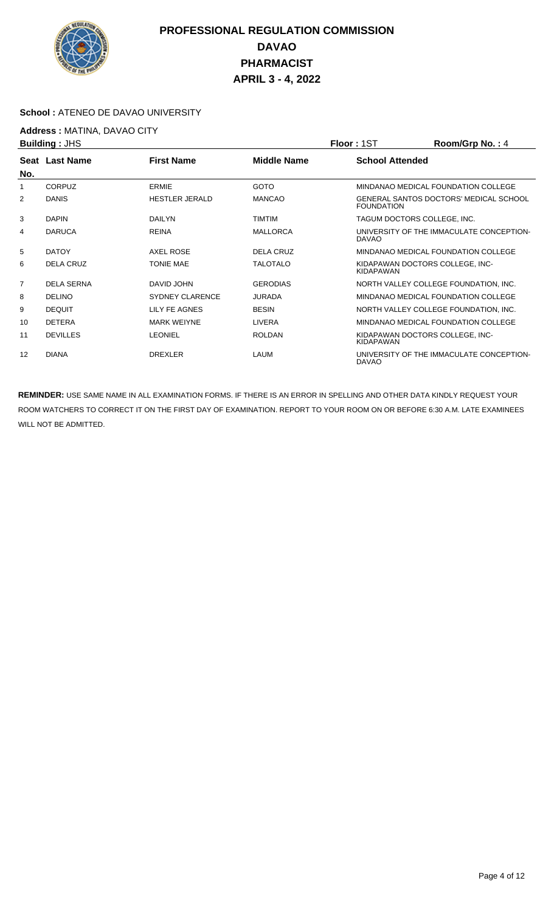

#### **School :** ATENEO DE DAVAO UNIVERSITY

# **Address : MATINA, DAVAO CITY**<br>**Building : JHS**

| <b>Building: JHS</b> |                   | <b>Floor: 1ST</b>      | Room/Grp No.: 4    |                        |                                               |
|----------------------|-------------------|------------------------|--------------------|------------------------|-----------------------------------------------|
|                      | Seat Last Name    | <b>First Name</b>      | <b>Middle Name</b> | <b>School Attended</b> |                                               |
| No.                  |                   |                        |                    |                        |                                               |
|                      | <b>CORPUZ</b>     | ERMIE                  | <b>GOTO</b>        |                        | MINDANAO MEDICAL FOUNDATION COLLEGE           |
| 2                    | <b>DANIS</b>      | <b>HESTLER JERALD</b>  | <b>MANCAO</b>      | <b>FOUNDATION</b>      | <b>GENERAL SANTOS DOCTORS' MEDICAL SCHOOL</b> |
| 3                    | <b>DAPIN</b>      | <b>DAILYN</b>          | <b>TIMTIM</b>      |                        | TAGUM DOCTORS COLLEGE, INC.                   |
| 4                    | <b>DARUCA</b>     | <b>REINA</b>           | <b>MALLORCA</b>    | <b>DAVAO</b>           | UNIVERSITY OF THE IMMACULATE CONCEPTION-      |
| 5                    | <b>DATOY</b>      | AXEL ROSE              | DELA CRUZ          |                        | MINDANAO MEDICAL FOUNDATION COLLEGE           |
| 6                    | DELA CRUZ         | <b>TONIE MAE</b>       | <b>TALOTALO</b>    | KIDAPAWAN              | KIDAPAWAN DOCTORS COLLEGE. INC-               |
| $\overline{7}$       | <b>DELA SERNA</b> | DAVID JOHN             | <b>GERODIAS</b>    |                        | NORTH VALLEY COLLEGE FOUNDATION, INC.         |
| 8                    | <b>DELINO</b>     | <b>SYDNEY CLARENCE</b> | <b>JURADA</b>      |                        | MINDANAO MEDICAL FOUNDATION COLLEGE           |
| 9                    | <b>DEQUIT</b>     | LILY FE AGNES          | <b>BESIN</b>       |                        | NORTH VALLEY COLLEGE FOUNDATION, INC.         |
| 10                   | <b>DETERA</b>     | <b>MARK WEIYNE</b>     | LIVERA             |                        | MINDANAO MEDICAL FOUNDATION COLLEGE           |
| 11                   | <b>DEVILLES</b>   | <b>LEONIEL</b>         | <b>ROLDAN</b>      | <b>KIDAPAWAN</b>       | KIDAPAWAN DOCTORS COLLEGE, INC-               |
| 12                   | <b>DIANA</b>      | <b>DREXLER</b>         | LAUM               | <b>DAVAO</b>           | UNIVERSITY OF THE IMMACULATE CONCEPTION-      |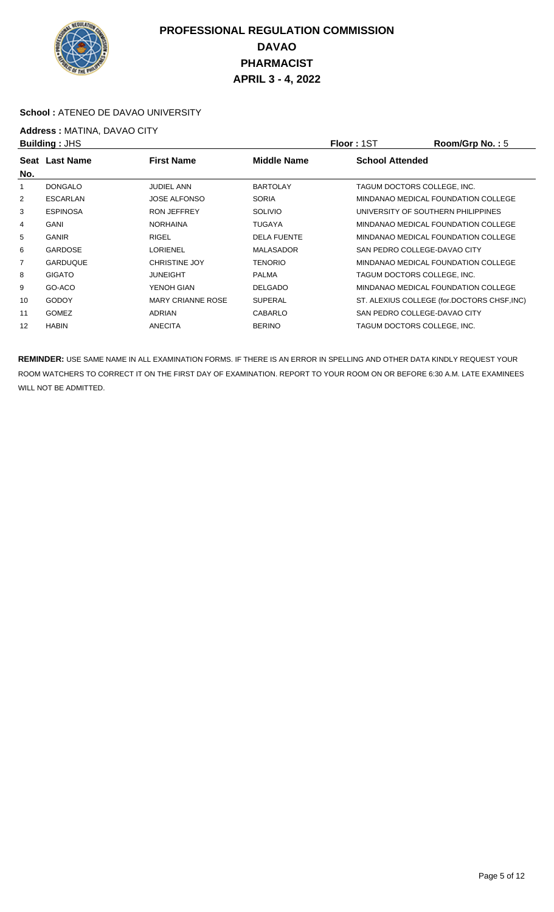

#### **School :** ATENEO DE DAVAO UNIVERSITY

## **Address : MATINA, DAVAO CITY**<br>**Building : JHS**

| <b>Building: JHS</b> |                 |                          |                    | <b>Floor: 1ST</b>                  | Room/Grp No.: 5                             |
|----------------------|-----------------|--------------------------|--------------------|------------------------------------|---------------------------------------------|
|                      | Seat Last Name  | <b>First Name</b>        | Middle Name        | <b>School Attended</b>             |                                             |
| No.                  |                 |                          |                    |                                    |                                             |
|                      | <b>DONGALO</b>  | <b>JUDIEL ANN</b>        | <b>BARTOLAY</b>    | TAGUM DOCTORS COLLEGE, INC.        |                                             |
| 2                    | <b>ESCARLAN</b> | <b>JOSE ALFONSO</b>      | <b>SORIA</b>       |                                    | MINDANAO MEDICAL FOUNDATION COLLEGE         |
| 3                    | <b>ESPINOSA</b> | <b>RON JEFFREY</b>       | <b>SOLIVIO</b>     | UNIVERSITY OF SOUTHERN PHILIPPINES |                                             |
| 4                    | <b>GANI</b>     | <b>NORHAINA</b>          | <b>TUGAYA</b>      |                                    | MINDANAO MEDICAL FOUNDATION COLLEGE         |
| 5                    | <b>GANIR</b>    | <b>RIGEL</b>             | <b>DELA FUENTE</b> |                                    | MINDANAO MEDICAL FOUNDATION COLLEGE         |
| 6                    | <b>GARDOSE</b>  | <b>LORIENEL</b>          | <b>MALASADOR</b>   | SAN PEDRO COLLEGE-DAVAO CITY       |                                             |
| $\overline{7}$       | GARDUQUE        | <b>CHRISTINE JOY</b>     | <b>TENORIO</b>     |                                    | MINDANAO MEDICAL FOUNDATION COLLEGE         |
| 8                    | <b>GIGATO</b>   | <b>JUNEIGHT</b>          | <b>PALMA</b>       | TAGUM DOCTORS COLLEGE. INC.        |                                             |
| 9                    | GO-ACO          | YENOH GIAN               | <b>DELGADO</b>     |                                    | MINDANAO MEDICAL FOUNDATION COLLEGE         |
| 10                   | <b>GODOY</b>    | <b>MARY CRIANNE ROSE</b> | <b>SUPERAL</b>     |                                    | ST. ALEXIUS COLLEGE (for.DOCTORS CHSF, INC) |
| 11                   | <b>GOMEZ</b>    | <b>ADRIAN</b>            | <b>CABARLO</b>     | SAN PEDRO COLLEGE-DAVAO CITY       |                                             |
| 12                   | <b>HABIN</b>    | <b>ANECITA</b>           | <b>BERINO</b>      | TAGUM DOCTORS COLLEGE, INC.        |                                             |
|                      |                 |                          |                    |                                    |                                             |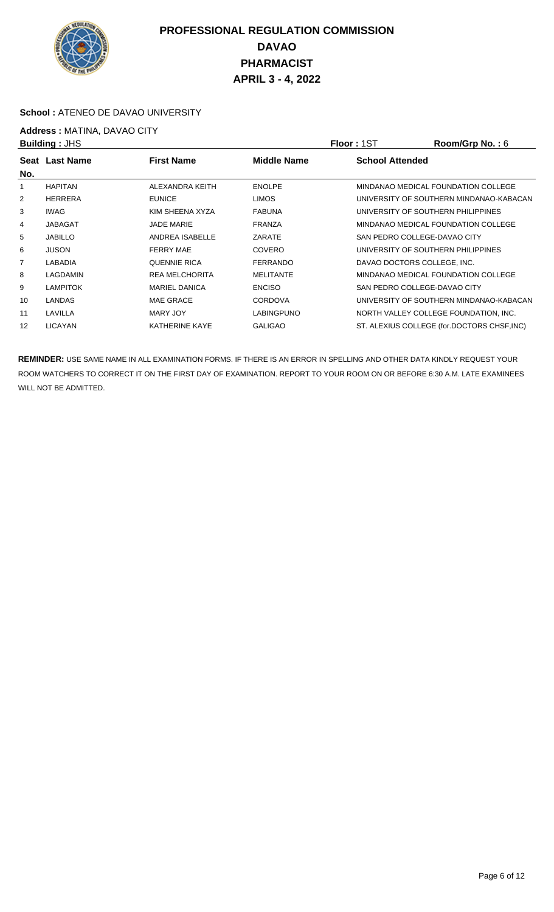

#### **School :** ATENEO DE DAVAO UNIVERSITY

## **Address :** MATINA, DAVAO CITY

|                | <b>Building: JHS</b> |                       |                    | <b>Floor: 1ST</b>      | Room/Grp No.: 6                             |
|----------------|----------------------|-----------------------|--------------------|------------------------|---------------------------------------------|
|                | Seat Last Name       | <b>First Name</b>     | <b>Middle Name</b> | <b>School Attended</b> |                                             |
| No.            |                      |                       |                    |                        |                                             |
|                | <b>HAPITAN</b>       | ALEXANDRA KEITH       | <b>ENOLPE</b>      |                        | MINDANAO MEDICAL FOUNDATION COLLEGE         |
| 2              | <b>HERRERA</b>       | <b>EUNICE</b>         | <b>LIMOS</b>       |                        | UNIVERSITY OF SOUTHERN MINDANAO-KABACAN     |
| 3              | <b>IWAG</b>          | KIM SHEENA XYZA       | <b>FABUNA</b>      |                        | UNIVERSITY OF SOUTHERN PHILIPPINES          |
| 4              | <b>JABAGAT</b>       | <b>JADE MARIE</b>     | <b>FRANZA</b>      |                        | MINDANAO MEDICAL FOUNDATION COLLEGE         |
| 5              | <b>JABILLO</b>       | ANDREA ISABELLE       | ZARATE             |                        | SAN PEDRO COLLEGE-DAVAO CITY                |
| 6              | <b>JUSON</b>         | <b>FERRY MAE</b>      | <b>COVERO</b>      |                        | UNIVERSITY OF SOUTHERN PHILIPPINES          |
| $\overline{7}$ | LABADIA              | <b>QUENNIE RICA</b>   | <b>FERRANDO</b>    |                        | DAVAO DOCTORS COLLEGE. INC.                 |
| 8              | LAGDAMIN             | <b>REA MELCHORITA</b> | <b>MELITANTE</b>   |                        | MINDANAO MEDICAL FOUNDATION COLLEGE         |
| 9              | <b>LAMPITOK</b>      | <b>MARIEL DANICA</b>  | <b>ENCISO</b>      |                        | SAN PEDRO COLLEGE-DAVAO CITY                |
| 10             | LANDAS               | <b>MAE GRACE</b>      | <b>CORDOVA</b>     |                        | UNIVERSITY OF SOUTHERN MINDANAO-KABACAN     |
| 11             | LAVILLA              | MARY JOY              | <b>LABINGPUNO</b>  |                        | NORTH VALLEY COLLEGE FOUNDATION, INC.       |
| 12             | <b>LICAYAN</b>       | <b>KATHERINE KAYE</b> | <b>GALIGAO</b>     |                        | ST. ALEXIUS COLLEGE (for.DOCTORS CHSF, INC) |
|                |                      |                       |                    |                        |                                             |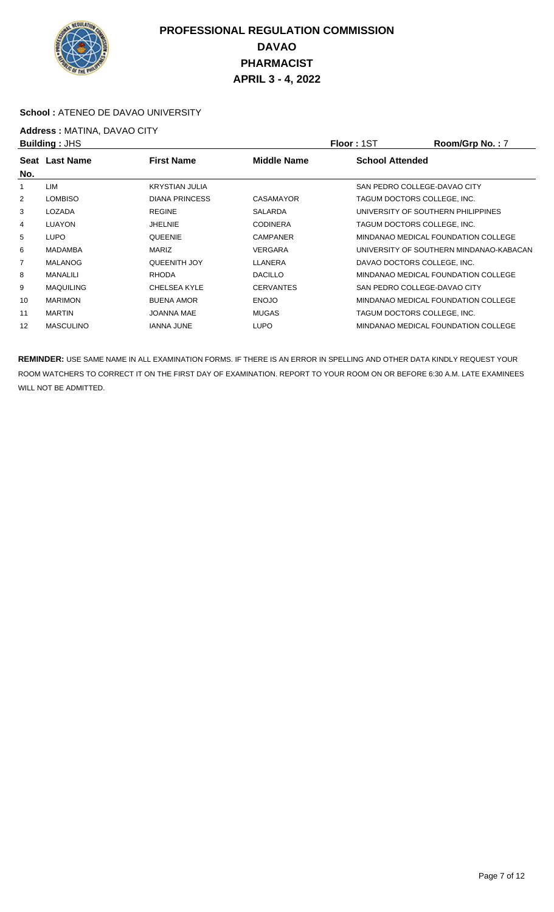

#### **School :** ATENEO DE DAVAO UNIVERSITY

**Address : MATINA, DAVAO CITY**<br>**Building : JHS** 

| <b>Building: JHS</b> |                  |                       |                  | <b>Floor: 1ST</b>                  | Room/Grp No.: 7                         |
|----------------------|------------------|-----------------------|------------------|------------------------------------|-----------------------------------------|
| No.                  | Seat Last Name   | <b>First Name</b>     | Middle Name      | <b>School Attended</b>             |                                         |
| 1                    | LIM              | <b>KRYSTIAN JULIA</b> |                  | SAN PEDRO COLLEGE-DAVAO CITY       |                                         |
| 2                    | <b>LOMBISO</b>   | <b>DIANA PRINCESS</b> | CASAMAYOR        | TAGUM DOCTORS COLLEGE. INC.        |                                         |
| 3                    | LOZADA           | <b>REGINE</b>         | <b>SALARDA</b>   | UNIVERSITY OF SOUTHERN PHILIPPINES |                                         |
| 4                    | <b>LUAYON</b>    | <b>JHELNIE</b>        | <b>CODINERA</b>  | TAGUM DOCTORS COLLEGE, INC.        |                                         |
| 5                    | LUPO             | <b>QUEENIE</b>        | <b>CAMPANER</b>  |                                    | MINDANAO MEDICAL FOUNDATION COLLEGE     |
| 6                    | <b>MADAMBA</b>   | <b>MARIZ</b>          | <b>VERGARA</b>   |                                    | UNIVERSITY OF SOUTHERN MINDANAO-KABACAN |
| 7                    | <b>MALANOG</b>   | <b>QUEENITH JOY</b>   | LLANERA          | DAVAO DOCTORS COLLEGE, INC.        |                                         |
| 8                    | <b>MANALILI</b>  | <b>RHODA</b>          | <b>DACILLO</b>   |                                    | MINDANAO MEDICAL FOUNDATION COLLEGE     |
| 9                    | <b>MAQUILING</b> | <b>CHELSEA KYLE</b>   | <b>CERVANTES</b> | SAN PEDRO COLLEGE-DAVAO CITY       |                                         |
| 10                   | <b>MARIMON</b>   | <b>BUENA AMOR</b>     | <b>ENOJO</b>     |                                    | MINDANAO MEDICAL FOUNDATION COLLEGE     |
| 11                   | <b>MARTIN</b>    | <b>JOANNA MAE</b>     | <b>MUGAS</b>     | TAGUM DOCTORS COLLEGE. INC.        |                                         |
| 12                   | <b>MASCULINO</b> | <b>IANNA JUNE</b>     | <b>LUPO</b>      |                                    | MINDANAO MEDICAL FOUNDATION COLLEGE     |
|                      |                  |                       |                  |                                    |                                         |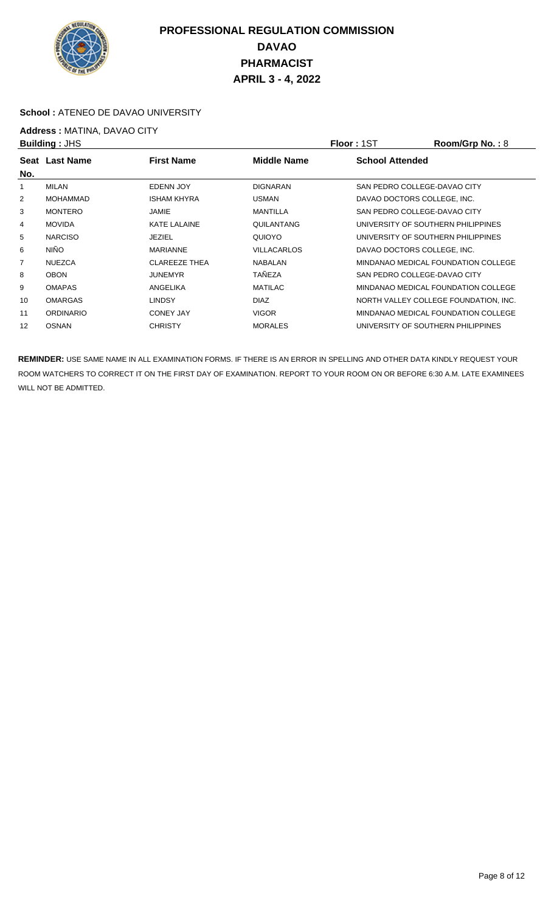

#### **School :** ATENEO DE DAVAO UNIVERSITY

# **Address : MATINA, DAVAO CITY**<br>**Building : JHS**

| <b>Building: JHS</b> |                  |                      |                    | <b>Floor: 1ST</b>           | Room/Grp No.: 8                       |
|----------------------|------------------|----------------------|--------------------|-----------------------------|---------------------------------------|
| Seat<br>No.          | Last Name        | <b>First Name</b>    | <b>Middle Name</b> | <b>School Attended</b>      |                                       |
| 1                    | MILAN            | EDENN JOY            | <b>DIGNARAN</b>    |                             | SAN PEDRO COLLEGE-DAVAO CITY          |
| $\overline{2}$       | <b>MOHAMMAD</b>  | <b>ISHAM KHYRA</b>   | <b>USMAN</b>       | DAVAO DOCTORS COLLEGE. INC. |                                       |
| 3                    | <b>MONTERO</b>   | JAMIE                | <b>MANTILLA</b>    |                             | SAN PEDRO COLLEGE-DAVAO CITY          |
| 4                    | <b>MOVIDA</b>    | KATE LALAINE         | QUILANTANG         |                             | UNIVERSITY OF SOUTHERN PHILIPPINES    |
| 5                    | <b>NARCISO</b>   | JEZIEL               | QUIOYO             |                             | UNIVERSITY OF SOUTHERN PHILIPPINES    |
| 6                    | <b>NIÑO</b>      | <b>MARIANNE</b>      | <b>VILLACARLOS</b> | DAVAO DOCTORS COLLEGE. INC. |                                       |
| 7                    | <b>NUEZCA</b>    | <b>CLAREEZE THEA</b> | <b>NABALAN</b>     |                             | MINDANAO MEDICAL FOUNDATION COLLEGE   |
| 8                    | <b>OBON</b>      | JUNEMYR              | <b>TAÑEZA</b>      |                             | SAN PEDRO COLLEGE-DAVAO CITY          |
| 9                    | <b>OMAPAS</b>    | ANGELIKA             | <b>MATILAC</b>     |                             | MINDANAO MEDICAL FOUNDATION COLLEGE   |
| 10                   | <b>OMARGAS</b>   | <b>LINDSY</b>        | <b>DIAZ</b>        |                             | NORTH VALLEY COLLEGE FOUNDATION, INC. |
| 11                   | <b>ORDINARIO</b> | <b>CONEY JAY</b>     | <b>VIGOR</b>       |                             | MINDANAO MEDICAL FOUNDATION COLLEGE   |
| 12                   | <b>OSNAN</b>     | <b>CHRISTY</b>       | <b>MORALES</b>     |                             | UNIVERSITY OF SOUTHERN PHILIPPINES    |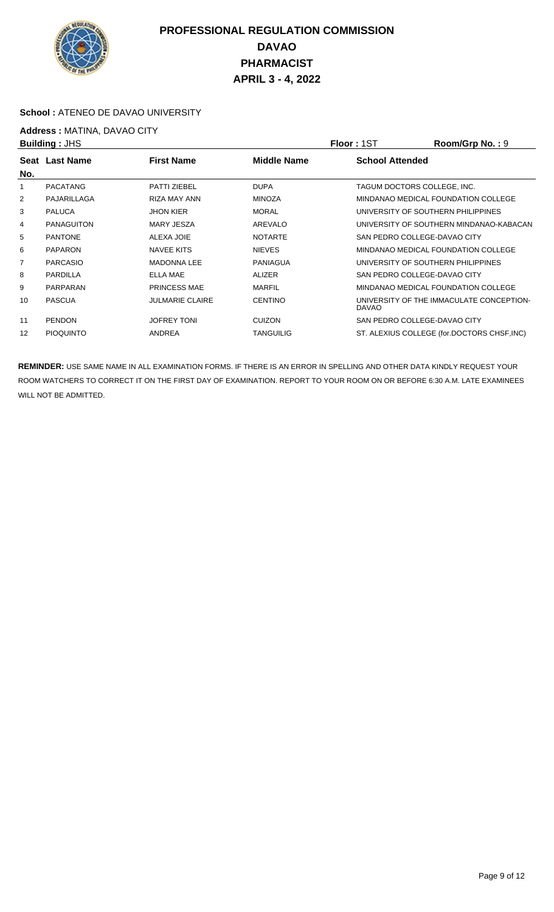

#### **School :** ATENEO DE DAVAO UNIVERSITY

## **Address :** MATINA, DAVAO CITY

|     | <b>Building: JHS</b> |                        |                  | <b>Floor: 1ST</b>      | Room/Grp No.: 9                             |
|-----|----------------------|------------------------|------------------|------------------------|---------------------------------------------|
|     | Seat Last Name       | <b>First Name</b>      | Middle Name      | <b>School Attended</b> |                                             |
| No. |                      |                        |                  |                        |                                             |
|     | <b>PACATANG</b>      | <b>PATTI ZIEBEL</b>    | <b>DUPA</b>      |                        | TAGUM DOCTORS COLLEGE, INC.                 |
| 2   | PAJARILLAGA          | <b>RIZA MAY ANN</b>    | <b>MINOZA</b>    |                        | MINDANAO MEDICAL FOUNDATION COLLEGE         |
| 3   | <b>PALUCA</b>        | <b>JHON KIER</b>       | <b>MORAL</b>     |                        | UNIVERSITY OF SOUTHERN PHILIPPINES          |
| 4   | <b>PANAGUITON</b>    | MARY JESZA             | AREVALO          |                        | UNIVERSITY OF SOUTHERN MINDANAO-KABACAN     |
| 5   | <b>PANTONE</b>       | ALEXA JOIE             | <b>NOTARTE</b>   |                        | SAN PEDRO COLLEGE-DAVAO CITY                |
| 6   | <b>PAPARON</b>       | <b>NAVEE KITS</b>      | <b>NIEVES</b>    |                        | MINDANAO MEDICAL FOUNDATION COLLEGE         |
| 7   | <b>PARCASIO</b>      | <b>MADONNA LEE</b>     | <b>PANIAGUA</b>  |                        | UNIVERSITY OF SOUTHERN PHILIPPINES          |
| 8   | <b>PARDILLA</b>      | ELLA MAE               | <b>ALIZER</b>    |                        | SAN PEDRO COLLEGE-DAVAO CITY                |
| 9   | PARPARAN             | <b>PRINCESS MAE</b>    | <b>MARFIL</b>    |                        | MINDANAO MEDICAL FOUNDATION COLLEGE         |
| 10  | <b>PASCUA</b>        | <b>JULMARIE CLAIRE</b> | <b>CENTINO</b>   | <b>DAVAO</b>           | UNIVERSITY OF THE IMMACULATE CONCEPTION-    |
| 11  | <b>PENDON</b>        | <b>JOFREY TONI</b>     | <b>CUIZON</b>    |                        | SAN PEDRO COLLEGE-DAVAO CITY                |
| 12  | <b>PIOQUINTO</b>     | ANDREA                 | <b>TANGUILIG</b> |                        | ST. ALEXIUS COLLEGE (for.DOCTORS CHSF, INC) |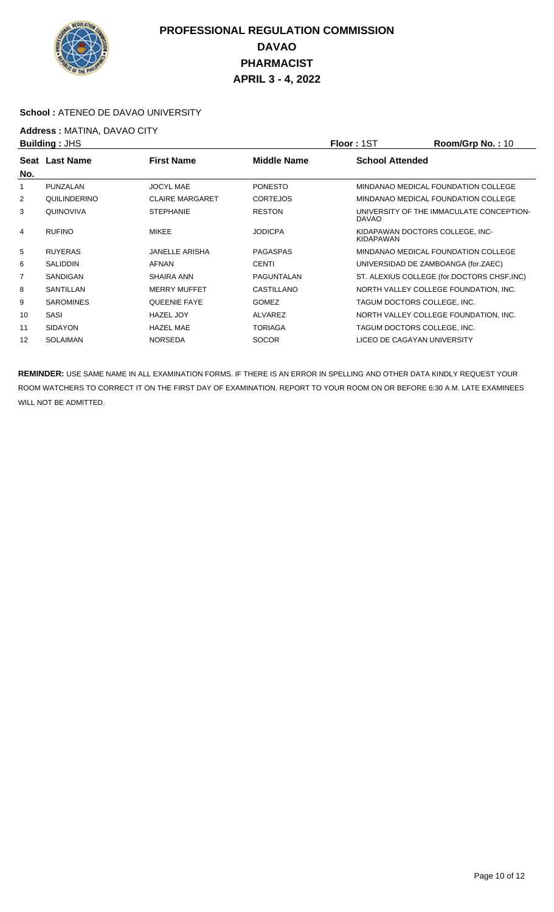

#### **School :** ATENEO DE DAVAO UNIVERSITY

## **Address : MATINA, DAVAO CITY**<br>**Building : JHS**

| <b>Building: JHS</b> |                  |                        | <b>Floor: 1ST</b> | Room/Grp No.: 10       |                                             |
|----------------------|------------------|------------------------|-------------------|------------------------|---------------------------------------------|
|                      | Seat Last Name   | <b>First Name</b>      | Middle Name       | <b>School Attended</b> |                                             |
| No.                  |                  |                        |                   |                        |                                             |
|                      | PUNZALAN         | <b>JOCYL MAE</b>       | <b>PONESTO</b>    |                        | MINDANAO MEDICAL FOUNDATION COLLEGE         |
| 2                    | QUILINDERINO     | <b>CLAIRE MARGARET</b> | <b>CORTEJOS</b>   |                        | MINDANAO MEDICAL FOUNDATION COLLEGE         |
| 3                    | QUINOVIVA        | <b>STEPHANIE</b>       | <b>RESTON</b>     | DAVAO                  | UNIVERSITY OF THE IMMACULATE CONCEPTION-    |
| $\overline{4}$       | <b>RUFINO</b>    | <b>MIKEE</b>           | <b>JODICPA</b>    | KIDAPAWAN              | KIDAPAWAN DOCTORS COLLEGE, INC-             |
| 5                    | <b>RUYERAS</b>   | <b>JANELLE ARISHA</b>  | <b>PAGASPAS</b>   |                        | MINDANAO MEDICAL FOUNDATION COLLEGE         |
| 6                    | <b>SALIDDIN</b>  | <b>AFNAN</b>           | <b>CENTI</b>      |                        | UNIVERSIDAD DE ZAMBOANGA (for.ZAEC)         |
| 7                    | <b>SANDIGAN</b>  | SHAIRA ANN             | PAGUNTALAN        |                        | ST. ALEXIUS COLLEGE (for.DOCTORS CHSF, INC) |
| 8                    | SANTILLAN        | <b>MERRY MUFFET</b>    | CASTILLANO        |                        | NORTH VALLEY COLLEGE FOUNDATION, INC.       |
| 9                    | <b>SAROMINES</b> | <b>QUEENIE FAYE</b>    | <b>GOMEZ</b>      |                        | TAGUM DOCTORS COLLEGE, INC.                 |
| 10                   | SASI             | <b>HAZEL JOY</b>       | <b>ALVAREZ</b>    |                        | NORTH VALLEY COLLEGE FOUNDATION, INC.       |
| 11                   | <b>SIDAYON</b>   | <b>HAZEL MAE</b>       | <b>TORIAGA</b>    |                        | TAGUM DOCTORS COLLEGE, INC.                 |
| 12                   | <b>SOLAIMAN</b>  | <b>NORSEDA</b>         | <b>SOCOR</b>      |                        | LICEO DE CAGAYAN UNIVERSITY                 |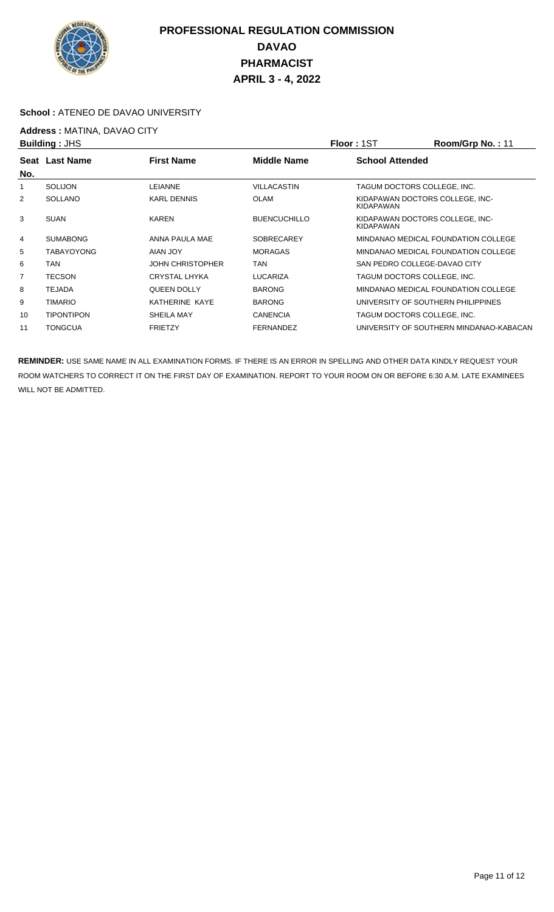

#### **School :** ATENEO DE DAVAO UNIVERSITY

## **Address :** MATINA, DAVAO CITY

|                | <b>Building: JHS</b> |                         |                     | <b>Floor: 1ST</b>      | Room/Grp No.: 11                        |
|----------------|----------------------|-------------------------|---------------------|------------------------|-----------------------------------------|
| No.            | Seat Last Name       | <b>First Name</b>       | <b>Middle Name</b>  | <b>School Attended</b> |                                         |
|                | SOLIJON              | LEIANNE                 | <b>VILLACASTIN</b>  |                        | TAGUM DOCTORS COLLEGE. INC.             |
| 2              | <b>SOLLANO</b>       | <b>KARL DENNIS</b>      | <b>OLAM</b>         | KIDAPAWAN              | KIDAPAWAN DOCTORS COLLEGE, INC-         |
| 3              | <b>SUAN</b>          | <b>KAREN</b>            | <b>BUENCUCHILLO</b> | <b>KIDAPAWAN</b>       | KIDAPAWAN DOCTORS COLLEGE, INC-         |
| 4              | <b>SUMABONG</b>      | ANNA PAULA MAE          | <b>SOBRECAREY</b>   |                        | MINDANAO MEDICAL FOUNDATION COLLEGE     |
| 5              | <b>TABAYOYONG</b>    | AIAN JOY                | <b>MORAGAS</b>      |                        | MINDANAO MEDICAL FOUNDATION COLLEGE     |
| 6              | <b>TAN</b>           | <b>JOHN CHRISTOPHER</b> | <b>TAN</b>          |                        | SAN PEDRO COLLEGE-DAVAO CITY            |
| $\overline{7}$ | <b>TECSON</b>        | <b>CRYSTAL LHYKA</b>    | <b>LUCARIZA</b>     |                        | TAGUM DOCTORS COLLEGE, INC.             |
| 8              | <b>TEJADA</b>        | <b>QUEEN DOLLY</b>      | <b>BARONG</b>       |                        | MINDANAO MEDICAL FOUNDATION COLLEGE     |
| 9              | <b>TIMARIO</b>       | KATHERINE KAYE          | <b>BARONG</b>       |                        | UNIVERSITY OF SOUTHERN PHILIPPINES      |
| 10             | <b>TIPONTIPON</b>    | <b>SHEILA MAY</b>       | <b>CANENCIA</b>     |                        | TAGUM DOCTORS COLLEGE. INC.             |
| 11             | <b>TONGCUA</b>       | <b>FRIETZY</b>          | <b>FERNANDEZ</b>    |                        | UNIVERSITY OF SOUTHERN MINDANAO-KABACAN |